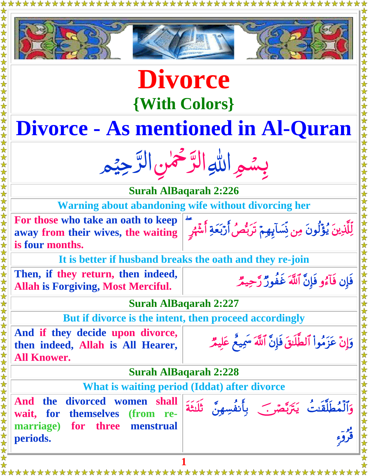| <b>Divorce</b>                                                                              |                                                                           |
|---------------------------------------------------------------------------------------------|---------------------------------------------------------------------------|
|                                                                                             |                                                                           |
| <b>{With Colors}</b>                                                                        |                                                                           |
| <b>Divorce - As mentioned in Al-Quran</b>                                                   |                                                                           |
| بِسْمِراللَّهِ التَّوْخَمٰنِ التَّرْجِيْمِر                                                 |                                                                           |
| <b>Surah AlBaqarah 2:226</b>                                                                |                                                                           |
| <b>Warning about abandoning wife without divorcing her</b>                                  |                                                                           |
| For those who take an oath to keep                                                          |                                                                           |
| away from their wives, the waiting<br>is four months.                                       | لِّلَّكَٰذِينَ يُؤۡلُونَ مِن نِّسَآبِهِمۡ تَرَبُّصُ أَرۡبَعَةِ أَشۡهُرِ ۖ |
|                                                                                             | It is better if husband breaks the oath and they re-join                  |
| Then, if they return, then indeed,<br><b>Allah is Forgiving, Most Merciful.</b>             | فَإِن فَآْءُو فَإِنَّ ٱللَّهَ غَفُورٌ رَّحِيمٌ                            |
| <b>Surah AlBaqarah 2:227</b>                                                                |                                                                           |
|                                                                                             | But if divorce is the intent, then proceed accordingly                    |
| And if they decide upon divorce,<br>then indeed, Allah is All Hearer,<br><b>All Knower.</b> | وَإِنْ عَزَمُواْ ٱلطَّلَنقَ فَإِنَّ ٱللَّهَ سَمِيعٌ عَلِيمٌ               |
| <b>Surah AlBaqarah 2:228</b>                                                                |                                                                           |
|                                                                                             | What is waiting period (Iddat) after divorce                              |
| And<br>divorced women shall<br><b>the</b><br>wait, for themselves<br>(from re-              | وَٱلْمُطَلَّقَتُ يَتَرَبَّصَ بِأَنفُسِهِنَّ تَلَتَّةَ                     |
| marriage) for three<br>menstrual<br>periods.                                                |                                                                           |
|                                                                                             |                                                                           |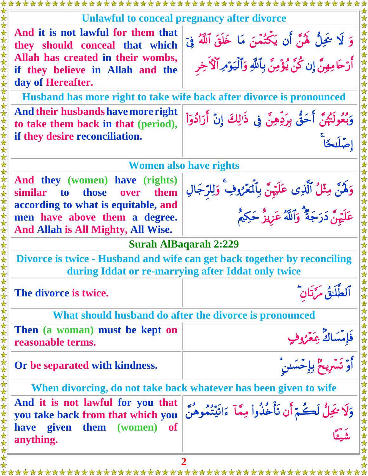|                                                                                                                                                             | Unlawful to conceal pregnancy after divorce                                                                                        |
|-------------------------------------------------------------------------------------------------------------------------------------------------------------|------------------------------------------------------------------------------------------------------------------------------------|
| And it is not lawful for them that<br>they should conceal that which<br>Allah has created in their wombs,<br>if they believe in Allah and the               | وَ لَا خَيِلٌ هَٰنَّ أَن يَكْتُمْنَ مَا خَلَقَ ٱللَّهُ فِيَ<br>أَرْحَامِهِنَّ إِن كُنَّ يُؤْمِنَّ بِٱللَّهِ وَٱلْيَوْمِرِٱلْأَخِرِ |
| day of Hereafter.                                                                                                                                           |                                                                                                                                    |
|                                                                                                                                                             | Husband has more right to take wife back after divorce is pronounced                                                               |
| And their husbands have more right<br>to take them back in that (period),<br>if they desire reconciliation.                                                 | وَبُعُولَتُهُنَّ أَحَقُّ بِرَدِّهِنَّ فِى ذَٰٰزِلِكَ إِنْ أَرَادُوٓاْ                                                              |
| <b>Women also have rights</b>                                                                                                                               |                                                                                                                                    |
| And they (women) have (rights)<br>over<br>them<br>those<br>similar<br>to<br>according to what is equitable, and                                             | وَلَهُنَّ مِثْلُ ٱلَّذِى عَلَيْهِنَّ بِٱلۡعَٰزُوفِ ۚ وَلِلرِّجَالِ<br>عَلَيۡهِنَّ دَرَجَةٌ ۚ وَٱللَّهُ عَزِيزٌ حَكِيمٌ             |
| men have above them a degree.<br>And Allah is All Mighty, All Wise.                                                                                         |                                                                                                                                    |
|                                                                                                                                                             | <b>Surah AlBaqarah 2:229</b>                                                                                                       |
| Divorce is twice - Husband and wife can get back together by reconciling<br>during Iddat or re-marrying after Iddat only twice<br>女女女女女女女女女女女女女女女女女女女女女女女女女 |                                                                                                                                    |
|                                                                                                                                                             |                                                                                                                                    |
| The divorce is twice.                                                                                                                                       | ا ٱلطَّلَاقُ مَرَّتَانِ                                                                                                            |
|                                                                                                                                                             | What should husband do after the divorce is pronounced                                                                             |
| Then (a woman) must be kept on<br>reasonable terms.                                                                                                         |                                                                                                                                    |
| Or be separated with kindness.                                                                                                                              |                                                                                                                                    |
|                                                                                                                                                             | When divorcing, do not take back whatever has been given to wife                                                                   |
| And it is not lawful for you that<br>you take back from that which you<br>have given them<br>(women) of                                                     | وَلَا يُحِلُّ لَكُمْ أَن تَأْخُذُواْ مِمَّآ ءَاتَيْتُمُوهُنَّ  <br>مَدَّ                                                           |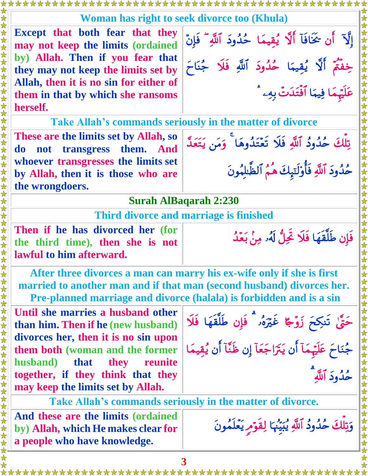## **Woman has right to seek divorce too (Khula)**

**Except that both fear that they may not keep the limits (ordained by) Allah. Then if you fear that they may not keep the limits set by Allah, then it is no sin for either of them in that by which she ransoms herself.**

إِلَّا ۚ أَن حَجَّافَآ أَلَّا يُقِيمًا ۚ حُدُودَ ٱللَّهِ ۖ فَإِنَّ خِفْتُمْ أَلَا يُقِيمًا حُدُودَ أَلَّكِ فَلَا جُنَاحَ عَلَيْهِمَا فِيهَا ٱفْتَدَتْ بِهِۦ \*

تِلْكَ حُدُودُ ٱللَّهِ فَلَا تَعْتَدُوهَا ۖ وَمَن يَتَعَدَّ

حُدُودَ ٱللَّهِ فَأَوْلَتِيكَ هَـمُ ٱلْطَلِلْمُونَ

فإن طلقهًا فلاَ تَحِلُّ لَهُ مِنْ بَعِّدُ

**Take Allah's commands seriously in the matter of divorce**

**These are the limits set by Allah, so do not transgress them. And whoever transgresses the limits set by Allah, then it is those who are the wrongdoers.**

**Surah AlBaqarah 2:230**

**Third divorce and marriage is finished**

**Then if he has divorced her (for the third time), then she is not lawful to him afterward.**

**After three divorces a man can marry his ex-wife only if she is first married to another man and if that man (second husband) divorces her. Pre-planned marriage and divorce (halala) is forbidden and is a sin**

**Until she marries a husband other than him. Then if he (new husband) divorces her, then it is no sin upon them both (woman and the former husband) that they reunite together, if they think that they may keep the limits set by Allah.** 

حَقٌّ، تَنكِحَ زَوْجًا غَيْرَهُۥ ۖ فَإِن طَلَّقَهَا فَلَا جُنَاحَ عَلَيْهَمَآ أَن يَتَرَاجَعَآ إِن ظَنَّآ أَن يُقِيمَا حُدُودَ اُللَّهِ

**Take Allah's commands seriously in the matter of divorce.**

**And these are the limits (ordained by) Allah, which He makes clear for a people who have knowledge.**

وَتِلْكَ حُدُودُ ٱللَّهِ يُبَيِّنُهَا لِقَوْمِ يَعْلَمُونَ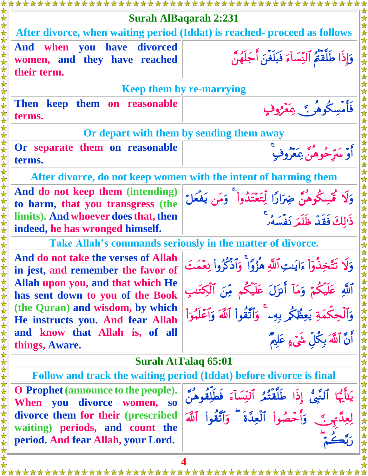|                                                                           | <b>Surah AlBagarah 2:231</b>                                                                         |
|---------------------------------------------------------------------------|------------------------------------------------------------------------------------------------------|
|                                                                           | After divorce, when waiting period (Iddat) is reached- proceed as follows                            |
| And when you have divorced<br>women, and they have reached<br>their term. | وَإِذَا طَلَّقَتُمُ ٱلنِّسَآءَ فَبَلَغَنَ أَجَلَهُنَّ                                                |
|                                                                           | <b>Keep them by re-marrying</b>                                                                      |
| them on reasonable<br>Then keep<br>terms.                                 | فَأَمْسِكُوهُمْ ﴾ عَفَرُوفٍ                                                                          |
| Or depart with them by sending them away                                  |                                                                                                      |
| Or separate them on reasonable<br>terms.                                  | <sup>ٷ</sup> ۄۦ<br>ٲۅڛڗڂۅۿڹ؋ڮۼۯۅڡ                                                                    |
|                                                                           | After divorce, do not keep women with the intent of harming them                                     |
| And do not keep them (intending)<br>to harm, that you transgress (the     | وَلَا تُمَّسِكُوهُنَّ ضِرَارًا لِّتَعْتَدُواْ ۖ وَمَن يَفْعَلَّ<br>ذَٰ لِكَ فَقَدْ ظَلَمَر نَفْسَهُۥ |
| limits). And whoever does that, then<br>indeed, he has wronged himself.   |                                                                                                      |
| Take Allah's commands seriously in the matter of divorce.                 |                                                                                                      |
| And do not take the verses of Allah<br>in jest, and remember the favor of | وَلَا تَتَّخِذُوٓاْ ءَايَتِ ٱللَّهِ هُزُوًا ۚ وَٱذۡكُرُواْ نِعۡمَتَ                                  |
| Allah upon you, and that which He<br>has sent down to you of the Book     | ٱللَّهِ عَلَيْكُمْ وَمَآ أَنزَلَ عَلَيْكُم مِّنَ ٱلۡكِتَـٰبِ                                         |
| (the Quran) and wisdom, by which<br>He instructs you. And fear Allah      | وَٱلۡحِكۡمَةِ يَعِظُكُمۡ بِهِۦ ۚ وَٱتَّقُواْ ٱللَّهَ وَٱعۡلَمُوٓاْ                                   |
| and know that Allah is, of all<br>things, Aware.                          | أَنَّ اَللَّهَ بِكُلِّ شَيْءٍ عَلِيمٌ                                                                |
| <b>Surah AtTalaq 65:01</b>                                                |                                                                                                      |
|                                                                           | Follow and track the waiting period (Iddat) before divorce is final                                  |
| <b>O</b> Prophet (announce to the people).<br>When you divorce women, so  | ٱلَّبَّىُّ إِذَا طَلَّقَتُمُ ٱلنِّسَآءَ فَطَلِّقُوهُنَّ                                              |
| divorce them for their (prescribed<br>waiting) periods, and count the     | وَأَحْصُواْ ٱلْعِدَّةَ ۖ وَٱتَّقُواْ ٱللَّهَ                                                         |
| period. And fear Allah, your Lord.                                        |                                                                                                      |
| 4                                                                         |                                                                                                      |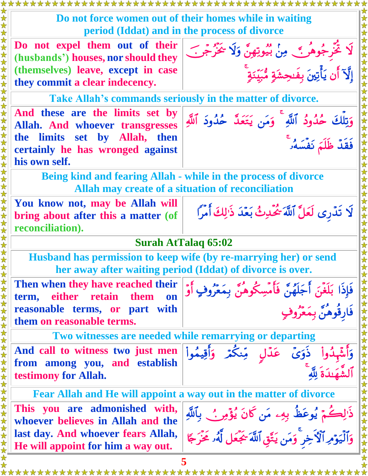**Do not force women out of their homes while in waiting period (Iddat) and in the process of divorce**

**Do not expel them out of their (husbands') houses, nor should they (themselves) leave, except in case they commit a clear indecency.** 



**Take Allah's commands seriously in the matter of divorce.**

**And these are the limits set by Allah. And whoever transgresses the limits set by Allah, then certainly he has wronged against his own self.** 

وَتِلْكَ حُدُودُ ٱللَّهِ ۖ وَمَن يَتَعَكَّ حُدُودَ ٱللَّهِ فَقَدَّ ظُلَّمَ نَفْسَهُ *وَ* 

**Being kind and fearing Allah - while in the process of divorce Allah may create of a situation of reconciliation**

**You know not, may be Allah will bring about after this a matter (of reconciliation).**

لَا تَدَّرِي لَعَلَّ ٱللَّهُ يَتَحَدِثُ بَعَّدَ ذَٰٰالِكَ أَمراً

## **Surah AtTalaq 65:02**

**Husband has permission to keep wife (by re-marrying her) or send her away after waiting period (Iddat) of divorce is over.**

**Then when they have reached their term, either retain them on reasonable terms, or part with them on reasonable terms.**



وَٱلْيَوْمِرِ ٱلْأَخِرِ ۖ وَمَن يَتَّقِ ٱللَّهَ يَجْعَلُ لَهُۥ مَحْرَجًا

**Two witnesses are needed while remarrying or departing**

**And call to witness two just men from among you, and establish testimony for Allah.** 



**Fear Allah and He will appoint a way out in the matter of divorce**

**This you are admonished with, whoever believes in Allah and the last day. And whoever fears Allah, He will appoint for him a way out.**

**5**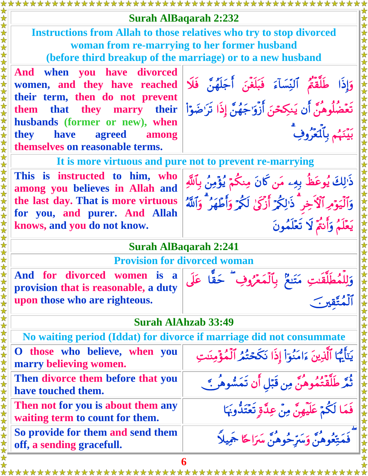|                                                                                                                                                                                                                                                | <b>Surah AlBaqarah 2:232</b>                                                                                                                                                                                                                  |
|------------------------------------------------------------------------------------------------------------------------------------------------------------------------------------------------------------------------------------------------|-----------------------------------------------------------------------------------------------------------------------------------------------------------------------------------------------------------------------------------------------|
| <b>Instructions from Allah to those relatives who try to stop divorced</b><br>woman from re-marrying to her former husband<br>(before third breakup of the marriage) or to a new husband                                                       |                                                                                                                                                                                                                                               |
| And when you have divorced<br>women, and they have reached<br>their term, then do not prevent<br>them that they marry their<br>husbands (former or new), when<br><b>they</b><br>agreed among<br><b>have</b><br>themselves on reasonable terms. | وَإِذَا طَلَّقَتُمْ ٱلنِّسَآءَ فَبَلَغَنَ أَجَلَهُنَّ فَلَا<br>تَعۡضُلُوهُنَّ أَن يَنكِحۡنَ أَزۡوَاجَهُنَّ إِذَا تَرَاضَوۡاْ<br>رورد بتأميروف                                                                                                 |
| This is instructed to him, who<br>among you believes in Allah and<br>the last day. That is more virtuous<br>for you, and purer. And Allah<br>knows, and you do not know.                                                                       | It is more virtuous and pure not to prevent re-marrying<br>ذَٰ لِكَ يُوعَظُ بِهِۦ مَن كَانَ مِنكُمْ يُؤْمِنُ بِٱللَّهِ<br>وَٱلۡيَوۡمِ ٱلۡۚ ۚ خِرۡ ۗ ذَٰ لِكُمۡ ۚ أَرۡكَىٰ لَكُمۡ وَأَطۡهَرُ ۚ وَٱللَّهُ<br>يَعْلَمُ وَأَنتُمْ لَا تَعْلَمُونَ |
| <b>Surah AlBagarah 2:241</b>                                                                                                                                                                                                                   |                                                                                                                                                                                                                                               |
| <b>Provision for divorced woman</b>                                                                                                                                                                                                            |                                                                                                                                                                                                                                               |
| And for divorced women is<br>a<br>provision that is reasonable, a duty<br>upon those who are righteous.                                                                                                                                        | وَلِلْمُطَلَّقَىتِ مَتَنعٌ بِٱلْمَعْرُوفِ ۖ حَقًّا عَلَى<br>أَنْقَسَبَ حَسَنٌّ بِٱلْمَعْرُوفِ ۖ حَقًّا عَلَى                                                                                                                                  |
| <b>Surah AlAhzab 33:49</b>                                                                                                                                                                                                                     |                                                                                                                                                                                                                                               |
|                                                                                                                                                                                                                                                | No waiting period (Iddat) for divorce if marriage did not consummate                                                                                                                                                                          |
| O those who believe, when you<br>marry believing women.                                                                                                                                                                                        | يَتَأَيُّهَا ٱلَّذِينَ ءَامَنُوٓاْ إِذَا نَكَحۡتُمُ ٱلۡمُؤۡمِنَتِ                                                                                                                                                                             |
| Then divorce them before that you<br>have touched them.                                                                                                                                                                                        | ثُمَّرَ طَلَّقَتُمُوهُنَّ مِن قَبَلِ أَن تَمَسُّوهُر بَّ                                                                                                                                                                                      |
| Then not for you is about them any<br>waiting term to count for them.                                                                                                                                                                          | فَمَا لَكُمْ عَلَيْهِنَّ مِنْ عِدَّةٍ تَعْتَدُّونَهَا                                                                                                                                                                                         |
| So provide for them and send them<br>off, a sending gracefull.                                                                                                                                                                                 | مَتِّعُوهِنَّ وَمَبّرٍ حُوهُنَّ مَبَرَاحًا جَمِيلاً                                                                                                                                                                                           |
| 6                                                                                                                                                                                                                                              |                                                                                                                                                                                                                                               |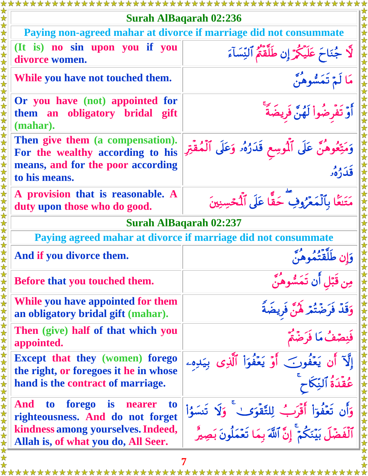| <b>Surah AlBaqarah 02:236</b>                                                                    |                                                                |
|--------------------------------------------------------------------------------------------------|----------------------------------------------------------------|
| Paying non-agreed mahar at divorce if marriage did not consummate                                |                                                                |
| (It is) no sin upon you if you<br>divorce women.                                                 | جُنَاحَ عَلَيْكُمْ إِن طَلَّقَتُمُ ٱلنِّسَآءَ                  |
| While you have not touched them.                                                                 | <b>مُ تَمَسُّوهُنَّ</b>                                        |
| Or you have (not) appointed for<br>them an obligatory bridal gift<br>(mahar).                    | وَّ تَفَرِضُواْ لَهُنَّ فَرِيضَةً                              |
| Then give them (a compensation).<br>For the wealthy according to his                             | وَمَتِّعُوهُنَّ عَلَى ٱلْمُوسِعِ قَدَرُهُۥ وَعَلَى ٱلْمُقْتِرِ |
| means, and for the poor according<br>to his means.                                               |                                                                |
| A provision that is reasonable. A<br>duty upon those who do good.                                | مَتَنعًا بِٱلْمَعْرُوفِ حَقًّا عَلَى ٱلْمَحْسِنِينَ            |
| <b>Surah AlBaqarah 02:237</b>                                                                    |                                                                |
| Paying agreed mahar at divorce if marriage did not consummate                                    |                                                                |
| And if you divorce them.                                                                         |                                                                |
| <b>Before that you touched them.</b>                                                             | ن قَبَل أَن تَمَسُّوهُنَّ                                      |
| While you have appointed for them<br>an obligatory bridal gift (mahar).                          | ضَنْعْرَ لَا                                                   |
| Then (give) half of that which you<br>appointed.                                                 |                                                                |
| <b>Except that they (women) forego</b><br>the right, or foregoes it he in whose                  | نْ يَعْفُونَ أَوْ يَعْفُوَاْ ٱلَّذِى بِيَدِهِۦ                 |
| hand is the contract of marriage.                                                                |                                                                |
| forego<br>And<br>t <sub>o</sub><br><b>is</b><br>nearer<br>to<br>righteousness. And do not forget | وَأَن تَعۡفُوٓا۟ أَقۡرَبُ لِلتَّقۡوَىٰ ۚ وَلَا تَنسَوُا۟       |
| kindness among yourselves. Indeed,<br>Allah is, of what you do, All Seer.                        | ٱلۡفَضۡلَ بَيۡنَكُمۡۚ إِنَّ ٱللَّهَ بِمَا تَعۡمَلُونَ بَصِيرُ  |
|                                                                                                  |                                                                |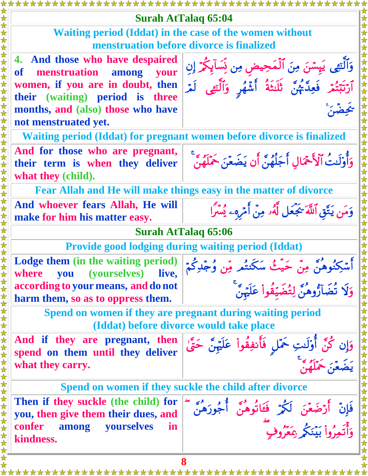**8 Surah AtTalaq 65:04 Waiting period (Iddat) in the case of the women without menstruation before divorce is finalized 4. And those who have despaired of menstruation among your women, if you are in doubt, then their (waiting) period is three months, and (also) those who have not menstruated yet.**  وَٱلتِّعِي پَيسَنَ مِنَ ٱلْمَحِيضِ مِن نَسَآيِكُمْ إِن أَرْتَبْتُمْ فَعِدٌّ ثُنُّ، ثُلُثَةُ أَشَّهُر وَأَلْتِفِي لَمْرَ  **Waiting period (Iddat) for pregnant women before divorce is finalized And for those who are pregnant, their term is when they deliver what they (child).** وَأَوْلَّتَ الْأَحْمَالِ أَجَلَّهُنَّ أَن يَضُعَنَ حَمَّلَهُنَّ **Fear Allah and He will make things easy in the matter of divorce And whoever fears Allah, He will make for him his matter easy.** وَمَن يَتَّق أَللَّهُ يَجْعَل لَهُ مِنَّ أَمْرُهِ يَسْرَأَ **Surah AtTalaq 65:06 Provide good lodging during waiting period (Iddat) Lodge them (in the waiting period) where you (yourselves) live, according to your means, and do not harm them, so as to oppress them.**  أَسْكِنُوهُنَّ مِنْ حَيْثُ سَكَنتُم مِّن وُجِّدِكُمْ وَلَا تَضَآرُوهُنَّ لِتُضَيَّقُواْ عَلَيْنَ **Spend on women if they are pregnant during waiting period (Iddat) before divorce would take place And if they are pregnant, then spend on them until they deliver what they carry.** وَإِن كُنَّ أَوْلَنتِ حَمَّلَ فَأَنفِقُواْ عَلَيْهِنَّ حَتَّىٰ يَضُعَنَ حمَّلَهُنَّ **Spend on women if they suckle the child after divorce Then if they suckle (the child) for you, then give them their dues, and confer among yourselves in kindness.**  وَأَتَمِرُواْ بَيْنَكُمْ بِمَعْرُوفِ

\*\*\*\*\*\*\*\*\*\*\*\*\*\*\*\*\*\*\*\*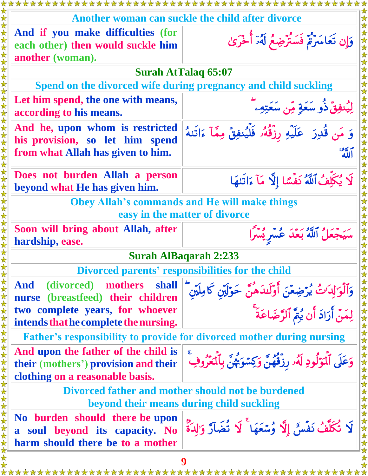|                                                                                                                    | Another woman can suckle the child after divorce                                                                    |
|--------------------------------------------------------------------------------------------------------------------|---------------------------------------------------------------------------------------------------------------------|
|                                                                                                                    |                                                                                                                     |
| And if you make difficulties (for<br>each other) then would suckle him<br>another (woman).                         | وَإِن تَعَاسَرَةٌ فَسَتَرْضِعُ لَهُ َأَخْرَىٰ                                                                       |
|                                                                                                                    | <b>Surah AtTalag 65:07</b>                                                                                          |
| Spend on the divorced wife during pregnancy and child suckling                                                     |                                                                                                                     |
| Let him spend, the one with means,<br>according to his means.                                                      | لِيُنفِقَ ذُو سَعَةٍ مِّن سَعَتِهِۦ                                                                                 |
| And he, upon whom is restricted<br>his provision, so let him spend<br>from what Allah has given to him.            | وَ مَن قُدِرَ ۚ عَلَيْهِ رِزْقُهُ ۚ فَلَّيُنفِقَ مِمَّآ ءَاتَنهُ<br>بهم<br>الله                                     |
| Does not burden Allah a person<br>beyond what He has given him.                                                    | لَا يُكَلِّفُ ٱللَّهُ نَفْسًا إِلَّا مَآ ءَاتَنهَا                                                                  |
| <b>Obey Allah's commands and He will make things</b>                                                               |                                                                                                                     |
| easy in the matter of divorce                                                                                      |                                                                                                                     |
| Soon will bring about Allah, after<br>hardship, ease.                                                              | سَيَجْعَلُ ٱللَّهُ بَعْدَ عُسْرِ يُسْرًا                                                                            |
|                                                                                                                    | <b>Surah AlBaqarah 2:233</b>                                                                                        |
| Divorced parents' responsibilities for the child<br>女女女女女女女女女女女女女女女女女女女女女女女女<br>女女女女女女女女女女女女女女女女女                  |                                                                                                                     |
| (divorced) mothers<br>shall<br>And<br>nurse (breastfeed) their children                                            | وَٱلْوَ'لِدَ'ثُ يُرۡضِعۡنَ أُوۡلَـٰدَهُنَّ حَوۡلَيۡنِ كَامِلَيۡنَ ۖ<br> <br>  لِمَنۡ أَرَادَ أَن يُمَّ ٱلرَّضَاعَةَ |
| two complete years, for whoever<br>intends that he complete the nursing.                                           |                                                                                                                     |
|                                                                                                                    | <b>Father's responsibility to provide for divorced mother during nursing</b>                                        |
| And upon the father of the child is<br>their (mothers') provision and their<br>clothing on a reasonable basis.     | وَعَلَى ٱلۡوَلَٰوِدِ لَهُۥ رزَقُهُنَّ وَكِسۡوَيَّهُنَّ بِٱلۡعَرُوفِ                                                 |
| Divorced father and mother should not be burdened<br>beyond their means during child suckling                      |                                                                                                                     |
| No burden should there be upon<br>soul beyond its capacity. No<br>$\mathbf{a}$<br>harm should there be to a mother | لَا تُكَلَّفُ نَفْسٌ إِلَّا وُسْعَهَا ۚ لَا تُضَاَرَ وَالِدَةُ                                                      |
|                                                                                                                    |                                                                                                                     |